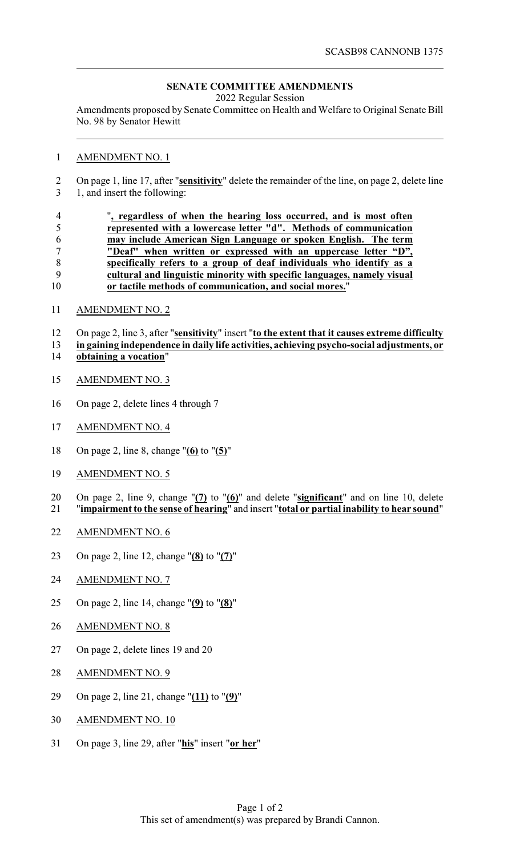## **SENATE COMMITTEE AMENDMENTS**

2022 Regular Session

Amendments proposed by Senate Committee on Health and Welfare to Original Senate Bill No. 98 by Senator Hewitt

## AMENDMENT NO. 1

 On page 1, line 17, after "**sensitivity**" delete the remainder of the line, on page 2, delete line 1, and insert the following:

|    | ", regardless of when the hearing loss occurred, and is most often      |
|----|-------------------------------------------------------------------------|
|    | represented with a lowercase letter "d". Methods of communication       |
|    | may include American Sign Language or spoken English. The term          |
|    | "Deaf" when written or expressed with an uppercase letter "D",          |
|    | specifically refers to a group of deaf individuals who identify as a    |
|    | cultural and linguistic minority with specific languages, namely visual |
| 10 | or tactile methods of communication, and social mores."                 |

AMENDMENT NO. 2

 On page 2, line 3, after "**sensitivity**" insert "**to the extent that it causes extreme difficulty in gaining independence in daily life activities, achieving psycho-social adjustments, or obtaining a vocation**"

- AMENDMENT NO. 3
- On page 2, delete lines 4 through 7
- AMENDMENT NO. 4
- On page 2, line 8, change "**(6)** to "**(5)**"
- AMENDMENT NO. 5
- On page 2, line 9, change "**(7)** to "**(6)**" and delete "**significant**" and on line 10, delete "**impairment to the sense of hearing**" and insert "**total or partial inability to hear sound**"
- AMENDMENT NO. 6
- 
- On page 2, line 12, change "**(8)** to "**(7)**"
- AMENDMENT NO. 7
- On page 2, line 14, change "**(9)** to "**(8)**"
- AMENDMENT NO. 8
- On page 2, delete lines 19 and 20
- AMENDMENT NO. 9
- On page 2, line 21, change "**(11)** to "**(9)**"
- AMENDMENT NO. 10
- On page 3, line 29, after "**his**" insert "**or her**"